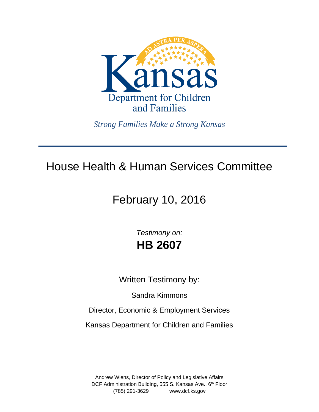

*Strong Families Make a Strong Kansas*

## House Health & Human Services Committee

# February 10, 2016

*Testimony on:* **HB 2607**

Written Testimony by:

Sandra Kimmons

Director, Economic & Employment Services

Kansas Department for Children and Families

Andrew Wiens, Director of Policy and Legislative Affairs DCF Administration Building, 555 S. Kansas Ave., 6<sup>th</sup> Floor (785) 291-3629 www.dcf.ks.gov